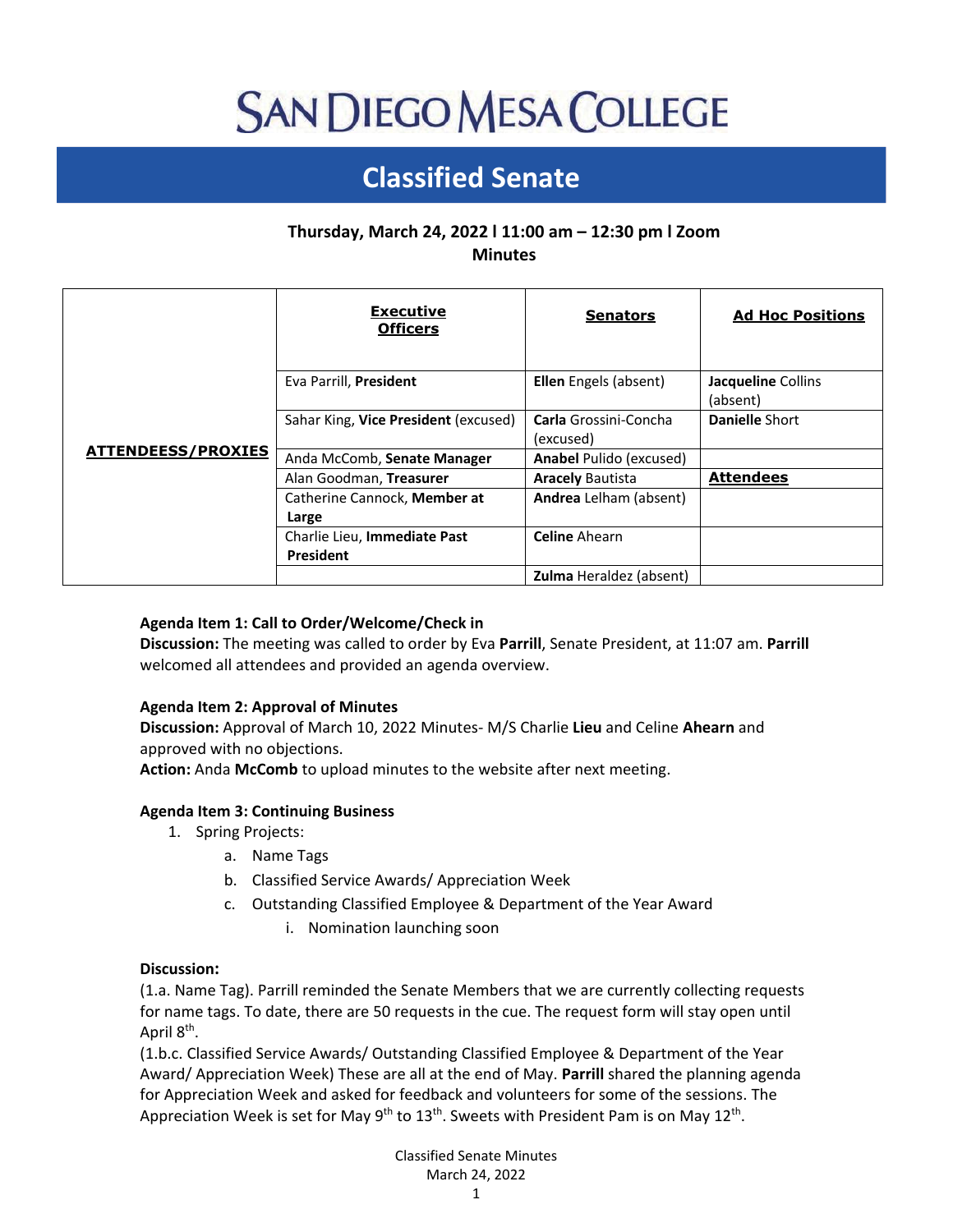# **SAN DIEGO MESA COLLEGE**

# **Classified Senate**

# **Thursday, March 24, 2022 l 11:00 am – 12:30 pm l Zoom Minutes**

| <b>ATTENDEESS/PROXIES</b> | <b>Executive</b><br><b>Officers</b>              | <b>Senators</b>                    | <b>Ad Hoc Positions</b>        |
|---------------------------|--------------------------------------------------|------------------------------------|--------------------------------|
|                           | Eva Parrill, President                           | <b>Ellen</b> Engels (absent)       | Jacqueline Collins<br>(absent) |
|                           | Sahar King, Vice President (excused)             | Carla Grossini-Concha<br>(excused) | Danielle Short                 |
|                           | Anda McComb, Senate Manager                      | <b>Anabel Pulido (excused)</b>     |                                |
|                           | Alan Goodman, Treasurer                          | <b>Aracely Bautista</b>            | <b>Attendees</b>               |
|                           | Catherine Cannock, Member at<br>Large            | Andrea Lelham (absent)             |                                |
|                           | Charlie Lieu, Immediate Past<br><b>President</b> | <b>Celine Ahearn</b>               |                                |
|                           |                                                  | <b>Zulma</b> Heraldez (absent)     |                                |

# **Agenda Item 1: Call to Order/Welcome/Check in**

**Discussion:** The meeting was called to order by Eva **Parrill**, Senate President, at 11:07 am. **Parrill** welcomed all attendees and provided an agenda overview.

# **Agenda Item 2: Approval of Minutes**

**Discussion:** Approval of March 10, 2022 Minutes- M/S Charlie **Lieu** and Celine **Ahearn** and approved with no objections.

**Action:** Anda **McComb** to upload minutes to the website after next meeting.

# **Agenda Item 3: Continuing Business**

- 1. Spring Projects:
	- a. Name Tags
	- b. Classified Service Awards/ Appreciation Week
	- c. Outstanding Classified Employee & Department of the Year Award
		- i. Nomination launching soon

#### **Discussion:**

(1.a. Name Tag). Parrill reminded the Senate Members that we are currently collecting requests for name tags. To date, there are 50 requests in the cue. The request form will stay open until April 8<sup>th</sup>.

(1.b.c. Classified Service Awards/ Outstanding Classified Employee & Department of the Year Award/ Appreciation Week) These are all at the end of May. **Parrill** shared the planning agenda for Appreciation Week and asked for feedback and volunteers for some of the sessions. The Appreciation Week is set for May 9<sup>th</sup> to 13<sup>th</sup>. Sweets with President Pam is on May 12<sup>th</sup>.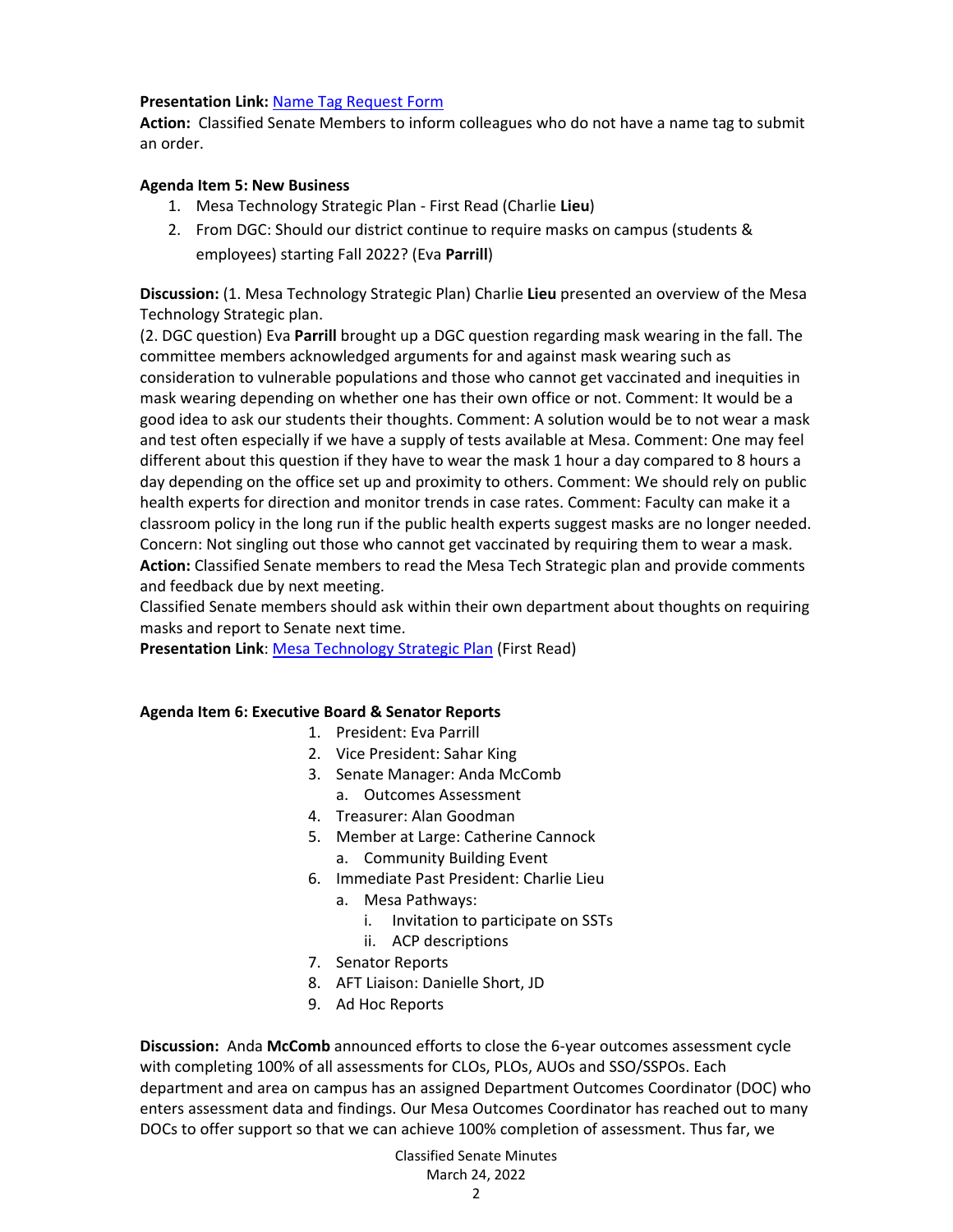#### **Presentation Link:** [Name Tag Request Form](https://docs.google.com/forms/d/e/1FAIpQLSdczHRDyhcqz3D-AkdfTWnHL1gb8DZCEm3qZZB88XiojQJLgQ/viewform)

**Action:** Classified Senate Members to inform colleagues who do not have a name tag to submit an order.

#### **Agenda Item 5: New Business**

- 1. Mesa Technology Strategic Plan First Read (Charlie **Lieu**)
- 2. From DGC: Should our district continue to require masks on campus (students & employees) starting Fall 2022? (Eva **Parrill**)

**Discussion:** (1. Mesa Technology Strategic Plan) Charlie **Lieu** presented an overview of the Mesa Technology Strategic plan.

(2. DGC question) Eva **Parrill** brought up a DGC question regarding mask wearing in the fall. The committee members acknowledged arguments for and against mask wearing such as consideration to vulnerable populations and those who cannot get vaccinated and inequities in mask wearing depending on whether one has their own office or not. Comment: It would be a good idea to ask our students their thoughts. Comment: A solution would be to not wear a mask and test often especially if we have a supply of tests available at Mesa. Comment: One may feel different about this question if they have to wear the mask 1 hour a day compared to 8 hours a day depending on the office set up and proximity to others. Comment: We should rely on public health experts for direction and monitor trends in case rates. Comment: Faculty can make it a classroom policy in the long run if the public health experts suggest masks are no longer needed. Concern: Not singling out those who cannot get vaccinated by requiring them to wear a mask. **Action:** Classified Senate members to read the Mesa Tech Strategic plan and provide comments and feedback due by next meeting.

Classified Senate members should ask within their own department about thoughts on requiring masks and report to Senate next time.

**Presentation Link: [Mesa Technology Strategic Plan](https://drive.google.com/file/d/1QuBxNUP1iTYgdCkblEXWFL82zrPDB_sk/view) (First Read)** 

#### **Agenda Item 6: Executive Board & Senator Reports**

- 1. President: Eva Parrill
- 2. Vice President: Sahar King
- 3. Senate Manager: Anda McComb
	- a. Outcomes Assessment
- 4. Treasurer: Alan Goodman
- 5. Member at Large: Catherine Cannock
	- a. Community Building Event
- 6. Immediate Past President: Charlie Lieu
	- a. Mesa Pathways:
		- i. Invitation to participate on SSTs
		- ii. ACP descriptions
- 7. Senator Reports
- 8. AFT Liaison: Danielle Short, JD
- 9. Ad Hoc Reports

**Discussion:** Anda **McComb** announced efforts to close the 6-year outcomes assessment cycle with completing 100% of all assessments for CLOs, PLOs, AUOs and SSO/SSPOs. Each department and area on campus has an assigned Department Outcomes Coordinator (DOC) who enters assessment data and findings. Our Mesa Outcomes Coordinator has reached out to many DOCs to offer support so that we can achieve 100% completion of assessment. Thus far, we

# Classified Senate Minutes March 24, 2022